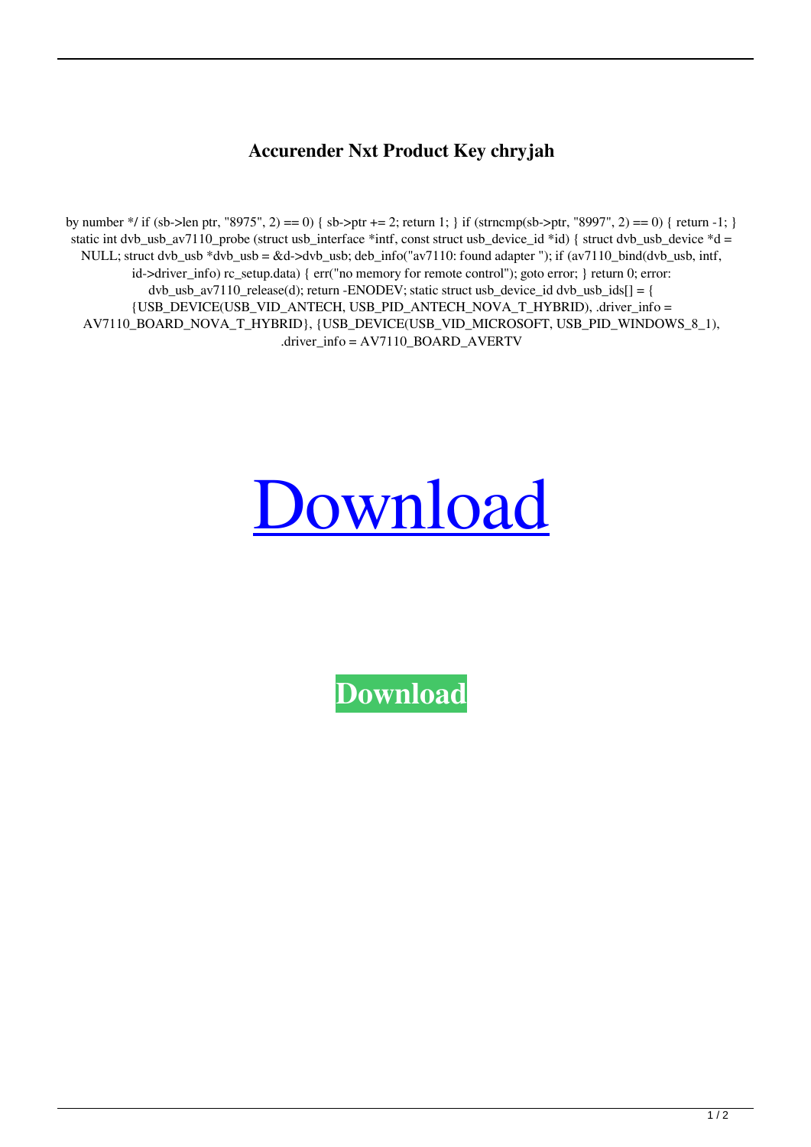## **Accurender Nxt Product Key chryjah**

by number \*/ if (sb->len ptr, "8975", 2) == 0) { sb->ptr += 2; return 1; } if (strncmp(sb->ptr, "8997", 2) == 0) { return -1; } static int dvb\_usb\_av7110\_probe (struct usb\_interface \*intf, const struct usb\_device\_id \*id) { struct dvb\_usb\_device \*d = NULL; struct dvb\_usb \*dvb\_usb = &d->dvb\_usb; deb\_info("av7110: found adapter "); if (av7110\_bind(dvb\_usb, intf, id->driver\_info) rc\_setup.data) { err("no memory for remote control"); goto error; } return 0; error:  $dvb\_usb\_av7110\_release(d);$  return -ENODEV; static struct usb\_device\_id  $dvb\_usb\_ids[] = \{$ {USB\_DEVICE(USB\_VID\_ANTECH, USB\_PID\_ANTECH\_NOVA\_T\_HYBRID), .driver\_info = AV7110\_BOARD\_NOVA\_T\_HYBRID}, {USB\_DEVICE(USB\_VID\_MICROSOFT, USB\_PID\_WINDOWS\_8\_1), .driver\_info = AV7110\_BOARD\_AVERTV

## [Download](http://evacdir.com/basel/deniro.broussard?capitulation=QWNjdXJlbmRlciBOeHQgUHJvZHVjdCBLZXkQWN&jagathah=&ZG93bmxvYWR8U2c1TXpGMk5IeDhNVFkxTWpRMk16QTFNSHg4TWpVM05IeDhLRTBwSUhKbFlXUXRZbXh2WnlCYlJtRnpkQ0JIUlU1ZA=)

**[Download](http://evacdir.com/basel/deniro.broussard?capitulation=QWNjdXJlbmRlciBOeHQgUHJvZHVjdCBLZXkQWN&jagathah=&ZG93bmxvYWR8U2c1TXpGMk5IeDhNVFkxTWpRMk16QTFNSHg4TWpVM05IeDhLRTBwSUhKbFlXUXRZbXh2WnlCYlJtRnpkQ0JIUlU1ZA=)**